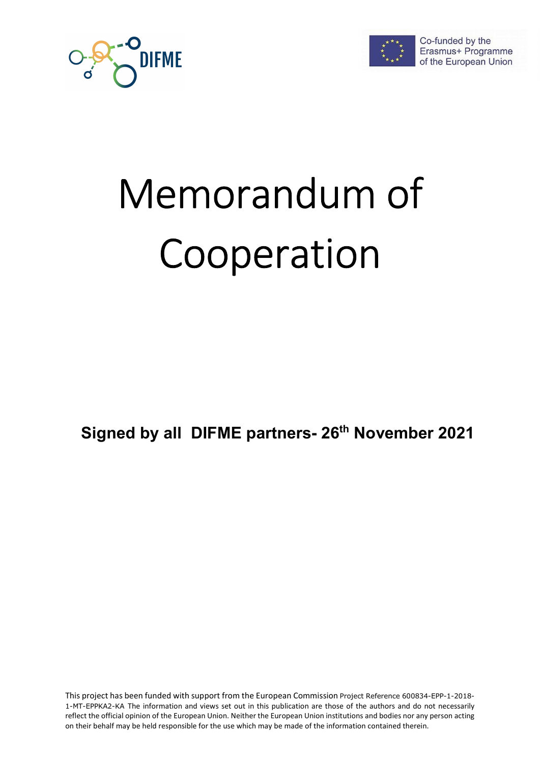



Co-funded by the Erasmus+ Programme of the European Union

# Memorandum of Cooperation

Signed by all DIFME partners- 26<sup>th</sup> November 2021

This project has been funded with support from the European Commission Project Reference 600834-EPP-1-2018- 1-MT-EPPKA2-KA The information and views set out in this publication are those of the authors and do not necessarily reflect the official opinion of the European Union. Neither the European Union institutions and bodies nor any person acting on their behalf may be held responsible for the use which may be made of the information contained therein.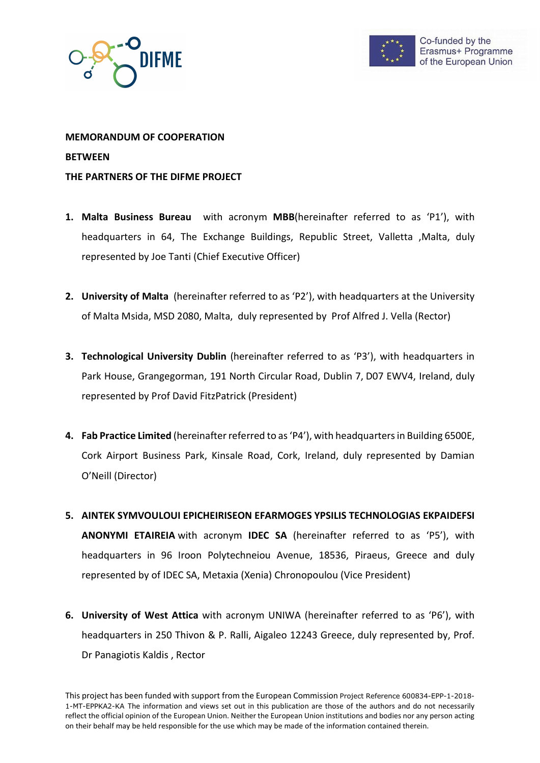



# MEMORANDUM OF COOPERATION **BETWEEN** THE PARTNERS OF THE DIFME PROJECT

- 1. Malta Business Bureau with acronym MBB(hereinafter referred to as 'P1'), with headquarters in 64, The Exchange Buildings, Republic Street, Valletta ,Malta, duly represented by Joe Tanti (Chief Executive Officer)
- 2. University of Malta (hereinafter referred to as 'P2'), with headquarters at the University of Malta Msida, MSD 2080, Malta, duly represented by Prof Alfred J. Vella (Rector)
- 3. Technological University Dublin (hereinafter referred to as 'P3'), with headquarters in Park House, Grangegorman, 191 North Circular Road, Dublin 7, D07 EWV4, Ireland, duly represented by Prof David FitzPatrick (President)
- 4. Fab Practice Limited (hereinafter referred to as 'P4'), with headquarters in Building 6500E, Cork Airport Business Park, Kinsale Road, Cork, Ireland, duly represented by Damian O'Neill (Director)
- 5. AINTEK SYMVOULOUI EPICHEIRISEON EFARMOGES YPSILIS TECHNOLOGIAS EKPAIDEFSI ANONYMI ETAIREIA with acronym IDEC SA (hereinafter referred to as 'P5'), with headquarters in 96 Iroon Polytechneiou Avenue, 18536, Piraeus, Greece and duly represented by of IDEC SA, Metaxia (Xenia) Chronopoulou (Vice President)
- 6. University of West Attica with acronym UNIWA (hereinafter referred to as 'P6'), with headquarters in 250 Thivon & P. Ralli, Aigaleo 12243 Greece, duly represented by, Prof. Dr Panagiotis Kaldis , Rector

This project has been funded with support from the European Commission Project Reference 600834-EPP-1-2018- 1-MT-EPPKA2-KA The information and views set out in this publication are those of the authors and do not necessarily reflect the official opinion of the European Union. Neither the European Union institutions and bodies nor any person acting on their behalf may be held responsible for the use which may be made of the information contained therein.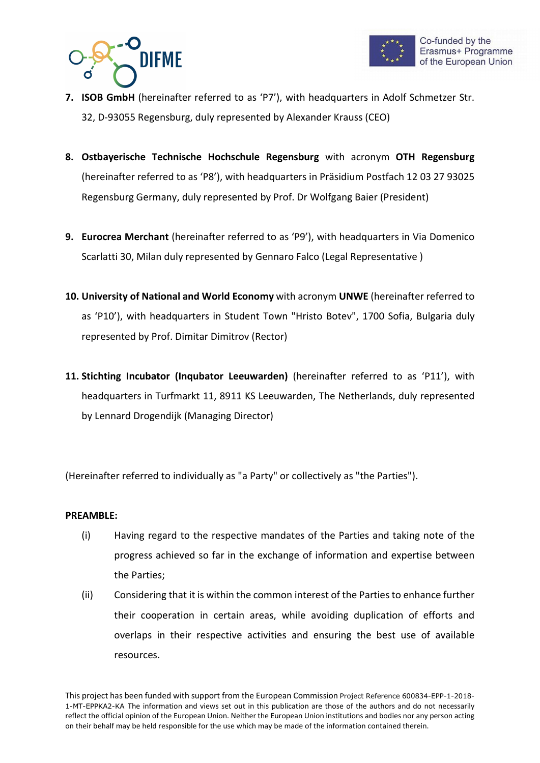



- 7. ISOB GmbH (hereinafter referred to as 'P7'), with headquarters in Adolf Schmetzer Str. 32, D-93055 Regensburg, duly represented by Alexander Krauss (CEO)
- 8. Ostbayerische Technische Hochschule Regensburg with acronym OTH Regensburg (hereinafter referred to as 'P8'), with headquarters in Präsidium Postfach 12 03 27 93025 Regensburg Germany, duly represented by Prof. Dr Wolfgang Baier (President)
- 9. Eurocrea Merchant (hereinafter referred to as 'P9'), with headquarters in Via Domenico Scarlatti 30, Milan duly represented by Gennaro Falco (Legal Representative )
- 10. University of National and World Economy with acronym UNWE (hereinafter referred to as 'P10'), with headquarters in Student Town "Hristo Botev", 1700 Sofia, Bulgaria duly represented by Prof. Dimitar Dimitrov (Rector)
- 11. Stichting Incubator (Inqubator Leeuwarden) (hereinafter referred to as 'P11'), with headquarters in Turfmarkt 11, 8911 KS Leeuwarden, The Netherlands, duly represented by Lennard Drogendijk (Managing Director)

(Hereinafter referred to individually as "a Party" or collectively as "the Parties").

#### PREAMBLE:

- (i) Having regard to the respective mandates of the Parties and taking note of the progress achieved so far in the exchange of information and expertise between the Parties;
- (ii) Considering that it is within the common interest of the Parties to enhance further their cooperation in certain areas, while avoiding duplication of efforts and overlaps in their respective activities and ensuring the best use of available resources.

This project has been funded with support from the European Commission Project Reference 600834-EPP-1-2018- 1-MT-EPPKA2-KA The information and views set out in this publication are those of the authors and do not necessarily reflect the official opinion of the European Union. Neither the European Union institutions and bodies nor any person acting on their behalf may be held responsible for the use which may be made of the information contained therein.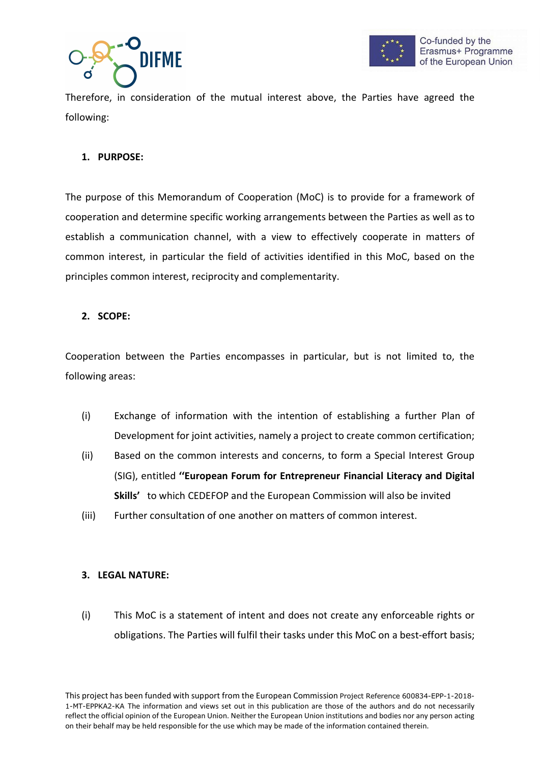



Therefore, in consideration of the mutual interest above, the Parties have agreed the following:

### 1. PURPOSE:

The purpose of this Memorandum of Cooperation (MoC) is to provide for a framework of cooperation and determine specific working arrangements between the Parties as well as to establish a communication channel, with a view to effectively cooperate in matters of common interest, in particular the field of activities identified in this MoC, based on the principles common interest, reciprocity and complementarity.

#### 2. SCOPE:

Cooperation between the Parties encompasses in particular, but is not limited to, the following areas:

- (i) Exchange of information with the intention of establishing a further Plan of Development for joint activities, namely a project to create common certification;
- (ii) Based on the common interests and concerns, to form a Special Interest Group (SIG), entitled ''European Forum for Entrepreneur Financial Literacy and Digital Skills' to which CEDEFOP and the European Commission will also be invited
- (iii) Further consultation of one another on matters of common interest.

#### 3. LEGAL NATURE:

(i) This MoC is a statement of intent and does not create any enforceable rights or obligations. The Parties will fulfil their tasks under this MoC on a best-effort basis;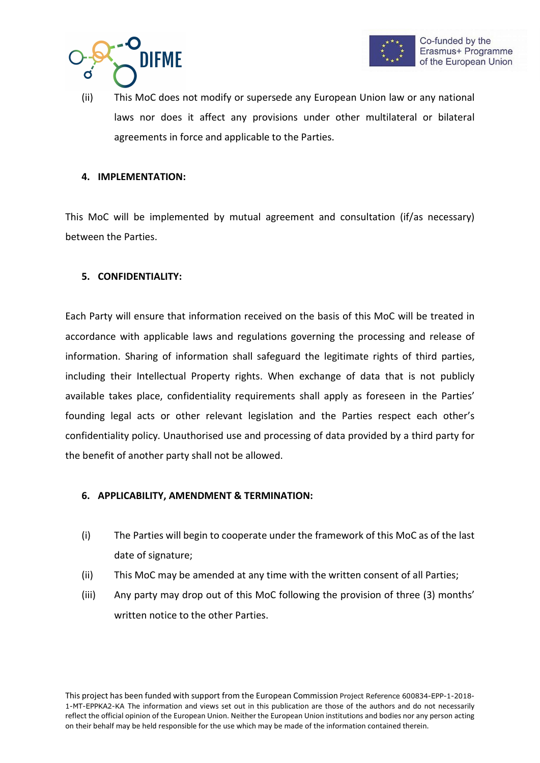



(ii) This MoC does not modify or supersede any European Union law or any national laws nor does it affect any provisions under other multilateral or bilateral agreements in force and applicable to the Parties.

#### 4. IMPLEMENTATION:

This MoC will be implemented by mutual agreement and consultation (if/as necessary) between the Parties.

#### 5. CONFIDENTIALITY:

Each Party will ensure that information received on the basis of this MoC will be treated in accordance with applicable laws and regulations governing the processing and release of information. Sharing of information shall safeguard the legitimate rights of third parties, including their Intellectual Property rights. When exchange of data that is not publicly available takes place, confidentiality requirements shall apply as foreseen in the Parties' founding legal acts or other relevant legislation and the Parties respect each other's confidentiality policy. Unauthorised use and processing of data provided by a third party for the benefit of another party shall not be allowed.

#### 6. APPLICABILITY, AMENDMENT & TERMINATION:

- (i) The Parties will begin to cooperate under the framework of this MoC as of the last date of signature;
- (ii) This MoC may be amended at any time with the written consent of all Parties;
- (iii) Any party may drop out of this MoC following the provision of three (3) months' written notice to the other Parties.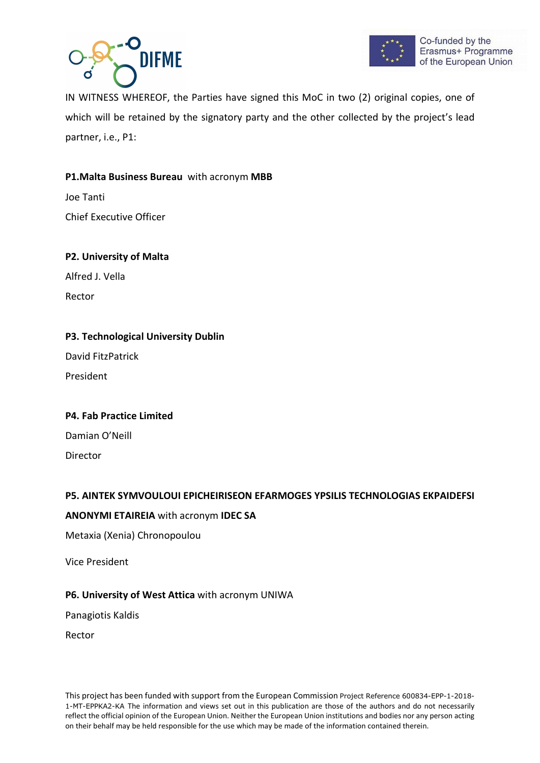



IN WITNESS WHEREOF, the Parties have signed this MoC in two (2) original copies, one of which will be retained by the signatory party and the other collected by the project's lead partner, i.e., P1:

# P1.Malta Business Bureau with acronym MBB

Joe Tanti Chief Executive Officer

# P2. University of Malta

Alfred J. Vella

Rector

## P3. Technological University Dublin

David FitzPatrick

President

# P4. Fab Practice Limited

Damian O'Neill Director

# P5. AINTEK SYMVOULOUI EPICHEIRISEON EFARMOGES YPSILIS TECHNOLOGIAS EKPAIDEFSI

#### ANONYMI ETAIREIA with acronym IDEC SA

Metaxia (Xenia) Chronopoulou

Vice President

#### P6. University of West Attica with acronym UNIWA

Panagiotis Kaldis

Rector